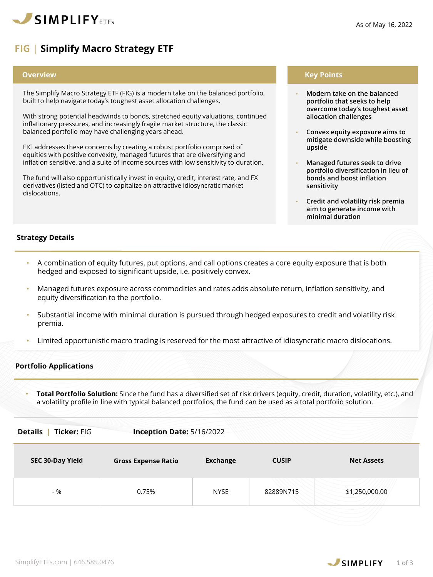

# **FIG** | **Simplify Macro Strategy ETF**

#### **Overview**

The Simplify Macro Strategy ETF (FIG) is a modern take on the balanced portfolio, built to help navigate today's toughest asset allocation challenges.

With strong potential headwinds to bonds, stretched equity valuations, continued inflationary pressures, and increasingly fragile market structure, the classic balanced portfolio may have challenging years ahead.

FIG addresses these concerns by creating a robust portfolio comprised of equities with positive convexity, managed futures that are diversifying and inflation sensitive, and a suite of income sources with low sensitivity to duration.

The fund will also opportunistically invest in equity, credit, interest rate, and FX derivatives (listed and OTC) to capitalize on attractive idiosyncratic market dislocations.

## **Key Points**

- **Modern take on the balanced portfolio that seeks to help overcome today's toughest asset allocation challenges**
- **Convex equity exposure aims to mitigate downside while boosting upside**
- **Managed futures seek to drive portfolio diversification in lieu of bonds and boost inflation sensitivity**
- **Credit and volatility risk premia aim to generate income with minimal duration**

## **Strategy Details**

- A combination of equity futures, put options, and call options creates a core equity exposure that is both hedged and exposed to significant upside, i.e. positively convex.
- Managed futures exposure across commodities and rates adds absolute return, inflation sensitivity, and equity diversification to the portfolio.
- Substantial income with minimal duration is pursued through hedged exposures to credit and volatility risk premia.
- Limited opportunistic macro trading is reserved for the most attractive of idiosyncratic macro dislocations.

## **Portfolio Applications**

• **Total Portfolio Solution:** Since the fund has a diversified set of risk drivers (equity, credit, duration, volatility, etc.), and a volatility profile in line with typical balanced portfolios, the fund can be used as a total portfolio solution.

| <b>Ticker: FIG</b><br><b>Details</b> | Inception Date: 5/16/2022  |                 |              |                   |
|--------------------------------------|----------------------------|-----------------|--------------|-------------------|
| SEC 30-Day Yield                     | <b>Gross Expense Ratio</b> | <b>Exchange</b> | <b>CUSIP</b> | <b>Net Assets</b> |
| $-96$                                | 0.75%                      | <b>NYSE</b>     | 82889N715    | \$1,250,000.00    |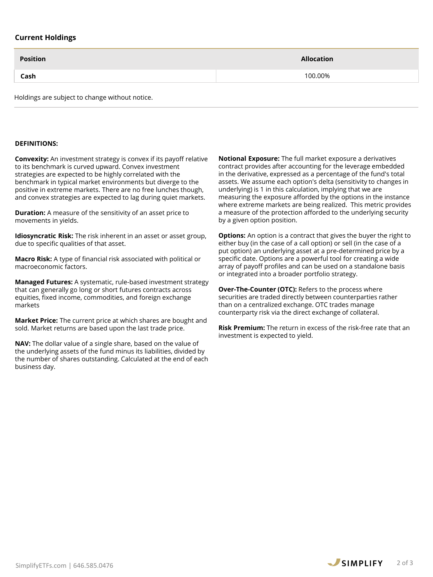# **Current Holdings**

| <b>Position</b> | <b>Allocation</b> |
|-----------------|-------------------|
| Cash            | 100.00%           |
|                 |                   |

Holdings are subject to change without notice.

## **DEFINITIONS:**

**Convexity:** An investment strategy is convex if its payoff relative to its benchmark is curved upward. Convex investment strategies are expected to be highly correlated with the benchmark in typical market environments but diverge to the positive in extreme markets. There are no free lunches though, and convex strategies are expected to lag during quiet markets.

**Duration:** A measure of the sensitivity of an asset price to movements in yields.

**Idiosyncratic Risk:** The risk inherent in an asset or asset group, due to specific qualities of that asset.

**Macro Risk:** A type of financial risk associated with political or macroeconomic factors.

**Managed Futures:** A systematic, rule-based investment strategy that can generally go long or short futures contracts across equities, fixed income, commodities, and foreign exchange markets

**Market Price:** The current price at which shares are bought and sold. Market returns are based upon the last trade price.

**NAV:** The dollar value of a single share, based on the value of the underlying assets of the fund minus its liabilities, divided by the number of shares outstanding. Calculated at the end of each business day.

**Notional Exposure:** The full market exposure a derivatives contract provides after accounting for the leverage embedded in the derivative, expressed as a percentage of the fund's total assets. We assume each option's delta (sensitivity to changes in underlying) is 1 in this calculation, implying that we are measuring the exposure afforded by the options in the instance where extreme markets are being realized. This metric provides a measure of the protection afforded to the underlying security by a given option position.

**Options:** An option is a contract that gives the buyer the right to either buy (in the case of a call option) or sell (in the case of a put option) an underlying asset at a pre-determined price by a specific date. Options are a powerful tool for creating a wide array of payoff profiles and can be used on a standalone basis or integrated into a broader portfolio strategy.

**Over-The-Counter (OTC):** Refers to the process where securities are traded directly between counterparties rather than on a centralized exchange. OTC trades manage counterparty risk via the direct exchange of collateral.

**Risk Premium:** The return in excess of the risk-free rate that an investment is expected to yield.